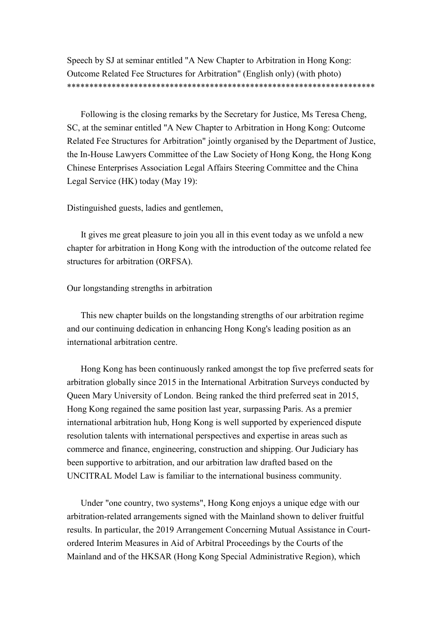Speech by SJ at seminar entitled "A New Chapter to Arbitration in Hong Kong: Outcome Related Fee Structures for Arbitration" (English only) (with photo) \*\*\*\*\*\*\*\*\*\*\*\*\*\*\*\*\*\*\*\*\*\*\*\*\*\*\*\*\*\*\*\*\*\*\*\*\*\*\*\*\*\*\*\*\*\*\*\*\*\*\*\*\*\*\*\*\*\*\*\*\*\*\*\*\*\*\*\*\*

Following is the closing remarks by the Secretary for Justice, Ms Teresa Cheng, SC, at the seminar entitled "A New Chapter to Arbitration in Hong Kong: Outcome Related Fee Structures for Arbitration" jointly organised by the Department of Justice, the In-House Lawyers Committee of the Law Society of Hong Kong, the Hong Kong Chinese Enterprises Association Legal Affairs Steering Committee and the China Legal Service (HK) today (May 19):

Distinguished guests, ladies and gentlemen,

It gives me great pleasure to join you all in this event today as we unfold a new chapter for arbitration in Hong Kong with the introduction of the outcome related fee structures for arbitration (ORFSA).

## Our longstanding strengths in arbitration

This new chapter builds on the longstanding strengths of our arbitration regime and our continuing dedication in enhancing Hong Kong's leading position as an international arbitration centre.

Hong Kong has been continuously ranked amongst the top five preferred seats for arbitration globally since 2015 in the International Arbitration Surveys conducted by Queen Mary University of London. Being ranked the third preferred seat in 2015, Hong Kong regained the same position last year, surpassing Paris. As a premier international arbitration hub, Hong Kong is well supported by experienced dispute resolution talents with international perspectives and expertise in areas such as commerce and finance, engineering, construction and shipping. Our Judiciary has been supportive to arbitration, and our arbitration law drafted based on the UNCITRAL Model Law is familiar to the international business community.

Under "one country, two systems", Hong Kong enjoys a unique edge with our arbitration-related arrangements signed with the Mainland shown to deliver fruitful results. In particular, the 2019 Arrangement Concerning Mutual Assistance in Courtordered Interim Measures in Aid of Arbitral Proceedings by the Courts of the Mainland and of the HKSAR (Hong Kong Special Administrative Region), which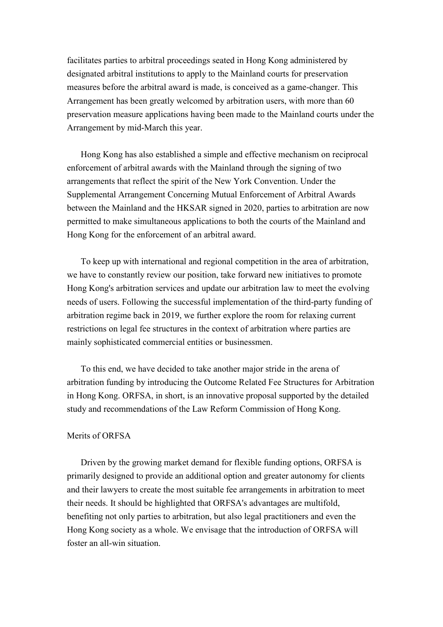facilitates parties to arbitral proceedings seated in Hong Kong administered by designated arbitral institutions to apply to the Mainland courts for preservation measures before the arbitral award is made, is conceived as a game-changer. This Arrangement has been greatly welcomed by arbitration users, with more than 60 preservation measure applications having been made to the Mainland courts under the Arrangement by mid-March this year.

Hong Kong has also established a simple and effective mechanism on reciprocal enforcement of arbitral awards with the Mainland through the signing of two arrangements that reflect the spirit of the New York Convention. Under the Supplemental Arrangement Concerning Mutual Enforcement of Arbitral Awards between the Mainland and the HKSAR signed in 2020, parties to arbitration are now permitted to make simultaneous applications to both the courts of the Mainland and Hong Kong for the enforcement of an arbitral award.

To keep up with international and regional competition in the area of arbitration, we have to constantly review our position, take forward new initiatives to promote Hong Kong's arbitration services and update our arbitration law to meet the evolving needs of users. Following the successful implementation of the third-party funding of arbitration regime back in 2019, we further explore the room for relaxing current restrictions on legal fee structures in the context of arbitration where parties are mainly sophisticated commercial entities or businessmen.

To this end, we have decided to take another major stride in the arena of arbitration funding by introducing the Outcome Related Fee Structures for Arbitration in Hong Kong. ORFSA, in short, is an innovative proposal supported by the detailed study and recommendations of the Law Reform Commission of Hong Kong.

## Merits of ORFSA

Driven by the growing market demand for flexible funding options, ORFSA is primarily designed to provide an additional option and greater autonomy for clients and their lawyers to create the most suitable fee arrangements in arbitration to meet their needs. It should be highlighted that ORFSA's advantages are multifold, benefiting not only parties to arbitration, but also legal practitioners and even the Hong Kong society as a whole. We envisage that the introduction of ORFSA will foster an all-win situation.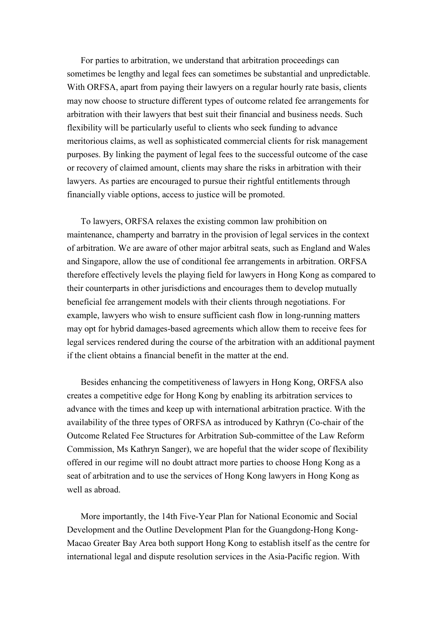For parties to arbitration, we understand that arbitration proceedings can sometimes be lengthy and legal fees can sometimes be substantial and unpredictable. With ORFSA, apart from paying their lawyers on a regular hourly rate basis, clients may now choose to structure different types of outcome related fee arrangements for arbitration with their lawyers that best suit their financial and business needs. Such flexibility will be particularly useful to clients who seek funding to advance meritorious claims, as well as sophisticated commercial clients for risk management purposes. By linking the payment of legal fees to the successful outcome of the case or recovery of claimed amount, clients may share the risks in arbitration with their lawyers. As parties are encouraged to pursue their rightful entitlements through financially viable options, access to justice will be promoted.

To lawyers, ORFSA relaxes the existing common law prohibition on maintenance, champerty and barratry in the provision of legal services in the context of arbitration. We are aware of other major arbitral seats, such as England and Wales and Singapore, allow the use of conditional fee arrangements in arbitration. ORFSA therefore effectively levels the playing field for lawyers in Hong Kong as compared to their counterparts in other jurisdictions and encourages them to develop mutually beneficial fee arrangement models with their clients through negotiations. For example, lawyers who wish to ensure sufficient cash flow in long-running matters may opt for hybrid damages-based agreements which allow them to receive fees for legal services rendered during the course of the arbitration with an additional payment if the client obtains a financial benefit in the matter at the end.

Besides enhancing the competitiveness of lawyers in Hong Kong, ORFSA also creates a competitive edge for Hong Kong by enabling its arbitration services to advance with the times and keep up with international arbitration practice. With the availability of the three types of ORFSA as introduced by Kathryn (Co-chair of the Outcome Related Fee Structures for Arbitration Sub-committee of the Law Reform Commission, Ms Kathryn Sanger), we are hopeful that the wider scope of flexibility offered in our regime will no doubt attract more parties to choose Hong Kong as a seat of arbitration and to use the services of Hong Kong lawyers in Hong Kong as well as abroad.

More importantly, the 14th Five-Year Plan for National Economic and Social Development and the Outline Development Plan for the Guangdong-Hong Kong-Macao Greater Bay Area both support Hong Kong to establish itself as the centre for international legal and dispute resolution services in the Asia-Pacific region. With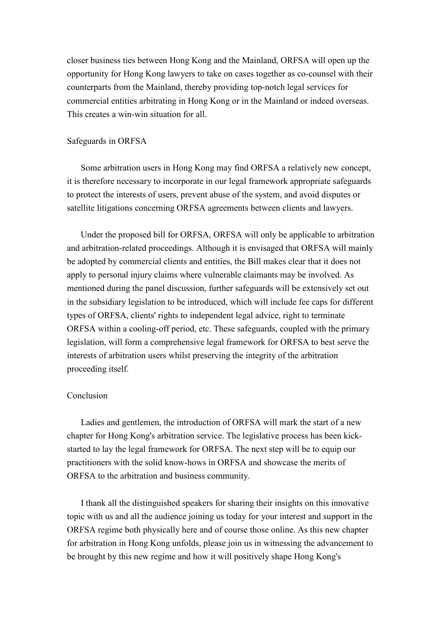closer business ties between Hong Kong and the Mainland, ORFSA will open up the opportunity for Hong Kong lawyers to take on cases together as co-counsel with their counterparts from the Mainland, thereby providing top-notch legal services for commercial entities arbitrating in Hong Kong or in the Mainland or indeed overseas. This creates a win-win situation for all.

## Safeguards in ORFSA

Some arbitration users in Hong Kong may find ORFSA a relatively new concept, it is therefore necessary to incorporate in our legal framework appropriate safeguards to protect the interests of users, prevent abuse of the system, and avoid disputes or satellite litigations concerning ORFSA agreements between clients and lawyers.

Under the proposed bill for ORFSA, ORFSA will only be applicable to arbitration and arbitration-related proceedings. Although it is envisaged that ORFSA will mainly be adopted by commercial clients and entities, the Bill makes clear that it does not apply to personal injury claims where vulnerable claimants may be involved. As mentioned during the panel discussion, further safeguards will be extensively set out in the subsidiary legislation to be introduced, which will include fee caps for different types of ORFSA, clients' rights to independent legal advice, right to terminate ORFSA within a cooling-off period, etc. These safeguards, coupled with the primary legislation, will form a comprehensive legal framework for ORFSA to best serve the interests of arbitration users whilst preserving the integrity of the arbitration proceeding itself.

## Conclusion

Ladies and gentlemen, the introduction of ORFSA will mark the start of a new chapter for Hong Kong's arbitration service. The legislative process has been kickstarted to lay the legal framework for ORFSA. The next step will be to equip our practitioners with the solid know-hows in ORFSA and showcase the merits of ORFSA to the arbitration and business community.

I thank all the distinguished speakers for sharing their insights on this innovative topic with us and all the audience joining us today for your interest and support in the ORFSA regime both physically here and of course those online. As this new chapter for arbitration in Hong Kong unfolds, please join us in witnessing the advancement to be brought by this new regime and how it will positively shape Hong Kong's